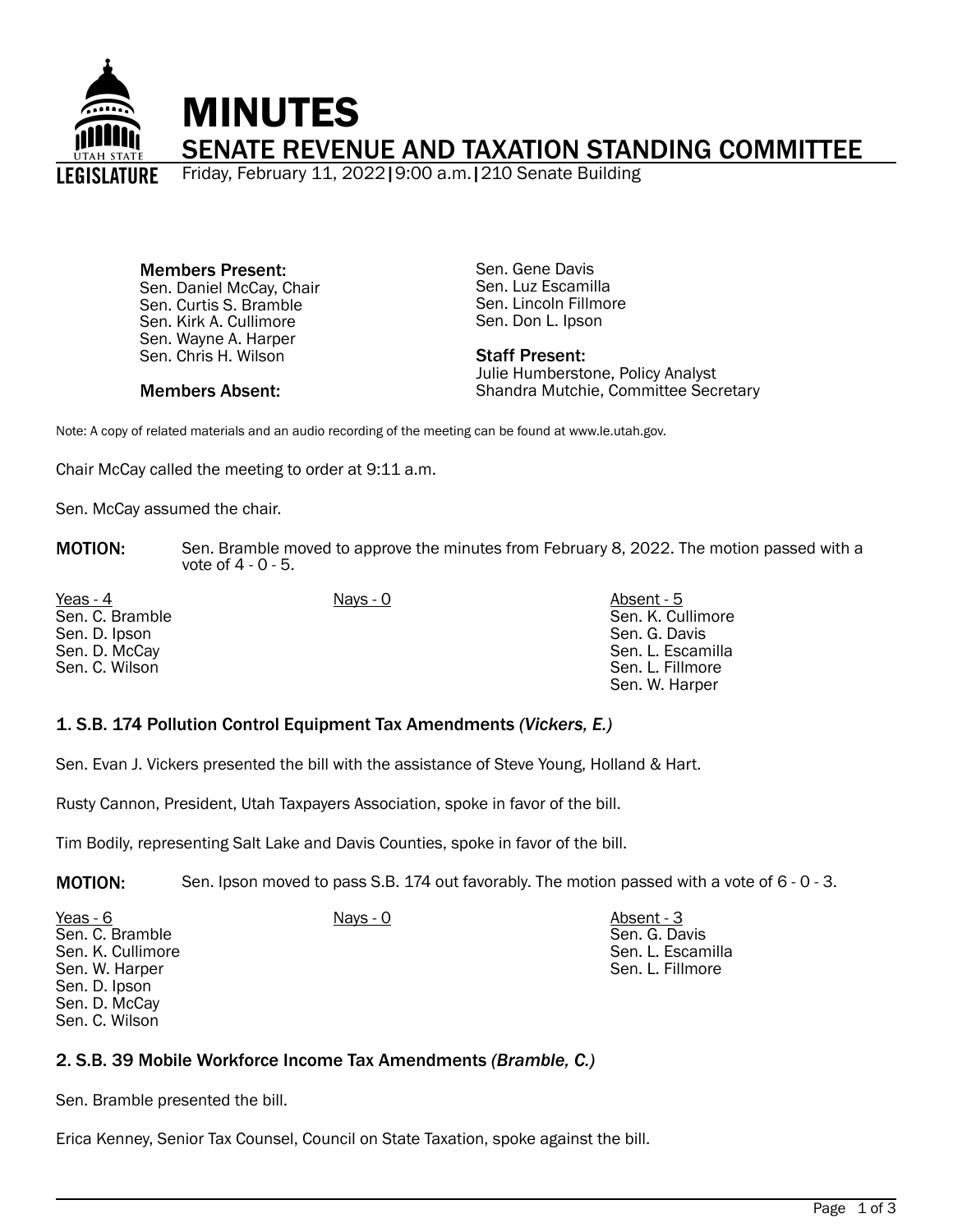

Members Present: Sen. Daniel McCay, Chair Sen. Curtis S. Bramble Sen. Kirk A. Cullimore Sen. Wayne A. Harper Sen. Chris H. Wilson

Sen. Gene Davis Sen. Luz Escamilla Sen. Lincoln Fillmore Sen. Don L. Ipson

#### Staff Present: Julie Humberstone, Policy Analyst Shandra Mutchie, Committee Secretary

Members Absent:

Note: A copy of related materials and an audio recording of the meeting can be found at www.le.utah.gov.

Chair McCay called the meeting to order at 9:11 a.m.

Sen. McCay assumed the chair.

**MOTION:** Sen. Bramble moved to approve the minutes from February 8, 2022. The motion passed with a vote of 4 - 0 - 5.

| Yeas - 4        | Nays - 0 | Absent - 5        |
|-----------------|----------|-------------------|
| Sen. C. Bramble |          | Sen. K. Cullimore |
| Sen. D. Ipson   |          | Sen. G. Davis     |
| Sen. D. McCay   |          | Sen. L. Escamilla |
| Sen. C. Wilson  |          | Sen. L. Fillmore  |
|                 |          | Sen. W. Harper    |

## 1. S.B. 174 Pollution Control Equipment Tax Amendments *(Vickers, E.)*

Sen. Evan J. Vickers presented the bill with the assistance of Steve Young, Holland & Hart.

Rusty Cannon, President, Utah Taxpayers Association, spoke in favor of the bill.

Tim Bodily, representing Salt Lake and Davis Counties, spoke in favor of the bill.

MOTION: Sen. Ipson moved to pass S.B. 174 out favorably. The motion passed with a vote of 6 - 0 - 3.

| Yeas - 6          | Nays - 0 | Absent - 3        |
|-------------------|----------|-------------------|
| Sen. C. Bramble   |          | Sen. G. Davis     |
| Sen. K. Cullimore |          | Sen. L. Escamilla |
| Sen. W. Harper    |          | Sen. L. Fillmore  |
| Sen. D. Ipson     |          |                   |
| Sen. D. McCay     |          |                   |

### 2. S.B. 39 Mobile Workforce Income Tax Amendments *(Bramble, C.)*

Sen. Bramble presented the bill.

Sen. C. Wilson

Erica Kenney, Senior Tax Counsel, Council on State Taxation, spoke against the bill.